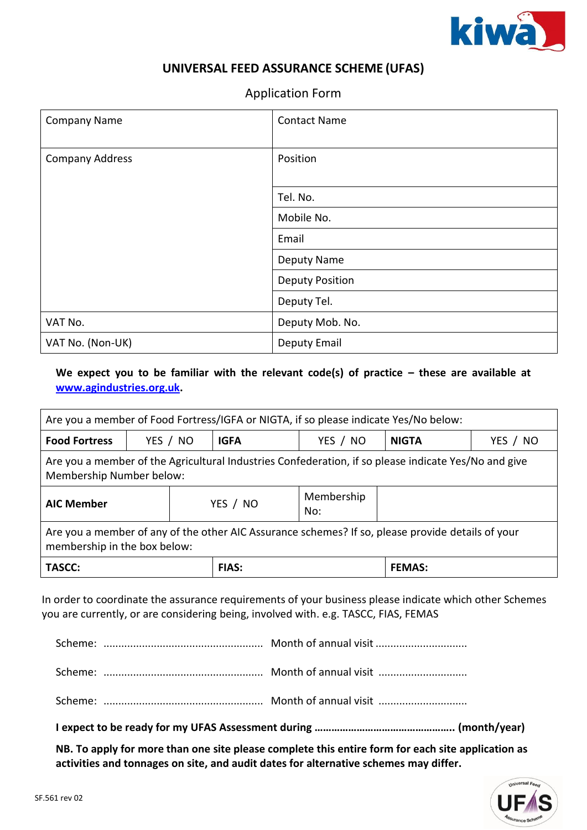

## **UNIVERSAL FEED ASSURANCE SCHEME (UFAS)**

## Application Form

| <b>Company Name</b>    | <b>Contact Name</b>    |
|------------------------|------------------------|
| <b>Company Address</b> | Position               |
|                        | Tel. No.               |
|                        | Mobile No.             |
|                        | Email                  |
|                        | Deputy Name            |
|                        | <b>Deputy Position</b> |
|                        | Deputy Tel.            |
| VAT No.                | Deputy Mob. No.        |
| VAT No. (Non-UK)       | Deputy Email           |

## We expect you to be familiar with the relevant code(s) of practice – these are available at **[www.agindustries.org.uk.](http://www.agindustries.org.uk/)**

| Are you a member of Food Fortress/IGFA or NIGTA, if so please indicate Yes/No below:                                              |  |          |              |          |               |          |
|-----------------------------------------------------------------------------------------------------------------------------------|--|----------|--------------|----------|---------------|----------|
| <b>Food Fortress</b>                                                                                                              |  | YES / NO | <b>IGFA</b>  | YES / NO | <b>NIGTA</b>  | YES / NO |
| Are you a member of the Agricultural Industries Confederation, if so please indicate Yes/No and give<br>Membership Number below:  |  |          |              |          |               |          |
| Membership<br><b>AIC Member</b><br>YES / NO<br>No:                                                                                |  |          |              |          |               |          |
| Are you a member of any of the other AIC Assurance schemes? If so, please provide details of your<br>membership in the box below: |  |          |              |          |               |          |
| <b>TASCC:</b>                                                                                                                     |  |          | <b>FIAS:</b> |          | <b>FEMAS:</b> |          |

In order to coordinate the assurance requirements of your business please indicate which other Schemes you are currently, or are considering being, involved with. e.g. TASCC, FIAS, FEMAS

**NB. To apply for more than one site please complete this entire form for each site application as activities and tonnages on site, and audit dates for alternative schemes may differ.**

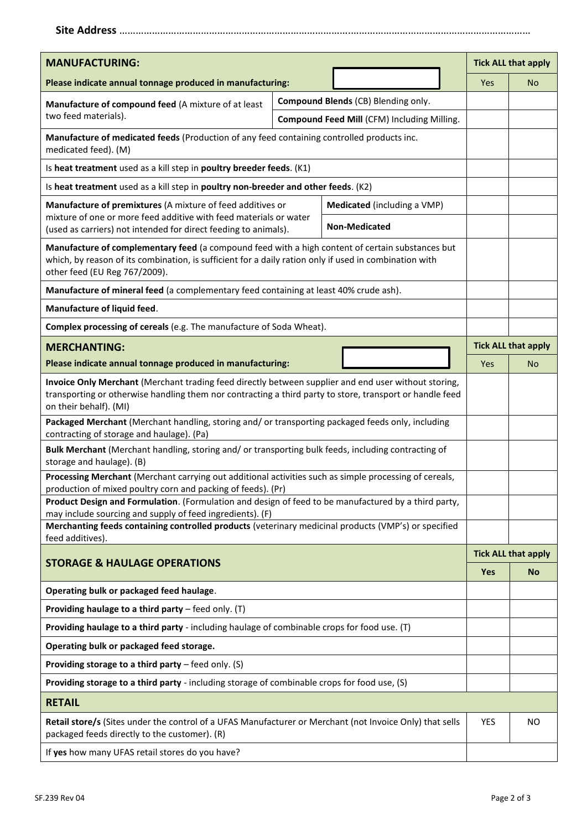|--|--|

| <b>MANUFACTURING:</b>                                                                                                                                                                                                                       |  |                                             |  |                            | <b>Tick ALL that apply</b> |
|---------------------------------------------------------------------------------------------------------------------------------------------------------------------------------------------------------------------------------------------|--|---------------------------------------------|--|----------------------------|----------------------------|
| Please indicate annual tonnage produced in manufacturing:                                                                                                                                                                                   |  |                                             |  | <b>Yes</b>                 | <b>No</b>                  |
| Manufacture of compound feed (A mixture of at least                                                                                                                                                                                         |  | Compound Blends (CB) Blending only.         |  |                            |                            |
| two feed materials).                                                                                                                                                                                                                        |  | Compound Feed Mill (CFM) Including Milling. |  |                            |                            |
| Manufacture of medicated feeds (Production of any feed containing controlled products inc.<br>medicated feed). (M)                                                                                                                          |  |                                             |  |                            |                            |
| Is heat treatment used as a kill step in poultry breeder feeds. (K1)                                                                                                                                                                        |  |                                             |  |                            |                            |
| Is heat treatment used as a kill step in poultry non-breeder and other feeds. (K2)                                                                                                                                                          |  |                                             |  |                            |                            |
| Manufacture of premixtures (A mixture of feed additives or                                                                                                                                                                                  |  | Medicated (including a VMP)                 |  |                            |                            |
| mixture of one or more feed additive with feed materials or water<br>(used as carriers) not intended for direct feeding to animals).                                                                                                        |  | <b>Non-Medicated</b>                        |  |                            |                            |
| Manufacture of complementary feed (a compound feed with a high content of certain substances but<br>which, by reason of its combination, is sufficient for a daily ration only if used in combination with<br>other feed (EU Reg 767/2009). |  |                                             |  |                            |                            |
| Manufacture of mineral feed (a complementary feed containing at least 40% crude ash).                                                                                                                                                       |  |                                             |  |                            |                            |
| Manufacture of liquid feed.                                                                                                                                                                                                                 |  |                                             |  |                            |                            |
| Complex processing of cereals (e.g. The manufacture of Soda Wheat).                                                                                                                                                                         |  |                                             |  |                            |                            |
| <b>MERCHANTING:</b>                                                                                                                                                                                                                         |  |                                             |  | <b>Tick ALL that apply</b> |                            |
| Please indicate annual tonnage produced in manufacturing:                                                                                                                                                                                   |  |                                             |  | <b>Yes</b>                 | No                         |
| Invoice Only Merchant (Merchant trading feed directly between supplier and end user without storing,<br>transporting or otherwise handling them nor contracting a third party to store, transport or handle feed<br>on their behalf). (MI)  |  |                                             |  |                            |                            |
| Packaged Merchant (Merchant handling, storing and/ or transporting packaged feeds only, including<br>contracting of storage and haulage). (Pa)                                                                                              |  |                                             |  |                            |                            |
| Bulk Merchant (Merchant handling, storing and/ or transporting bulk feeds, including contracting of<br>storage and haulage). (B)                                                                                                            |  |                                             |  |                            |                            |
| Processing Merchant (Merchant carrying out additional activities such as simple processing of cereals,<br>production of mixed poultry corn and packing of feeds). (Pr)                                                                      |  |                                             |  |                            |                            |
| Product Design and Formulation. (Formulation and design of feed to be manufactured by a third party,<br>may include sourcing and supply of feed ingredients). (F)                                                                           |  |                                             |  |                            |                            |
| Merchanting feeds containing controlled products (veterinary medicinal products (VMP's) or specified<br>feed additives).                                                                                                                    |  |                                             |  |                            |                            |
|                                                                                                                                                                                                                                             |  |                                             |  | <b>Tick ALL that apply</b> |                            |
| <b>STORAGE &amp; HAULAGE OPERATIONS</b>                                                                                                                                                                                                     |  |                                             |  | Yes                        | <b>No</b>                  |
| Operating bulk or packaged feed haulage.                                                                                                                                                                                                    |  |                                             |  |                            |                            |
| Providing haulage to a third party - feed only. (T)                                                                                                                                                                                         |  |                                             |  |                            |                            |
| Providing haulage to a third party - including haulage of combinable crops for food use. (T)                                                                                                                                                |  |                                             |  |                            |                            |
| Operating bulk or packaged feed storage.                                                                                                                                                                                                    |  |                                             |  |                            |                            |
| Providing storage to a third party $-$ feed only. (S)                                                                                                                                                                                       |  |                                             |  |                            |                            |
| Providing storage to a third party - including storage of combinable crops for food use, (S)                                                                                                                                                |  |                                             |  |                            |                            |
| <b>RETAIL</b>                                                                                                                                                                                                                               |  |                                             |  |                            |                            |
| Retail store/s (Sites under the control of a UFAS Manufacturer or Merchant (not Invoice Only) that sells<br>packaged feeds directly to the customer). (R)                                                                                   |  |                                             |  | YES                        | <b>NO</b>                  |
| If yes how many UFAS retail stores do you have?                                                                                                                                                                                             |  |                                             |  |                            |                            |